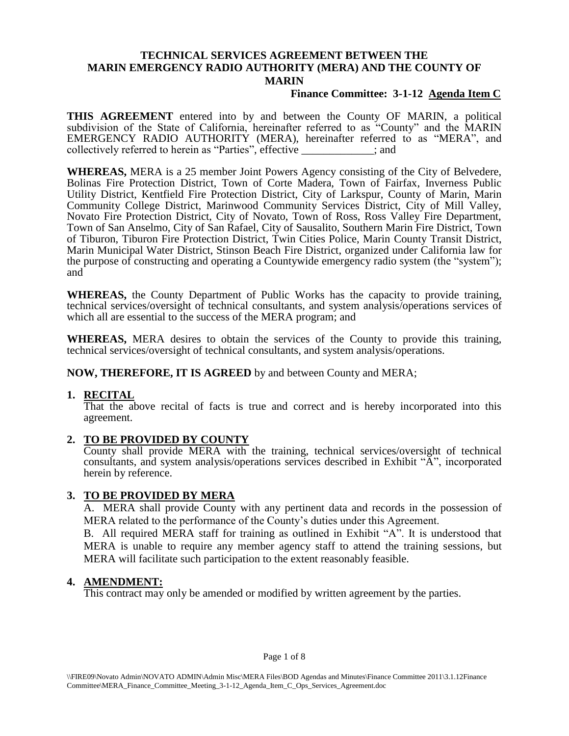### **TECHNICAL SERVICES AGREEMENT BETWEEN THE MARIN EMERGENCY RADIO AUTHORITY (MERA) AND THE COUNTY OF MARIN**

#### **Finance Committee: 3-1-12 Agenda Item C**

**THIS AGREEMENT** entered into by and between the County OF MARIN, a political subdivision of the State of California, hereinafter referred to as "County" and the MARIN EMERGENCY RADIO AUTHORITY (MERA), hereinafter referred to as "MERA", and collectively referred to herein as "Parties", effective \_\_\_\_\_\_\_\_\_\_\_\_\_; and

**WHEREAS,** MERA is a 25 member Joint Powers Agency consisting of the City of Belvedere, Bolinas Fire Protection District, Town of Corte Madera, Town of Fairfax, Inverness Public Utility District, Kentfield Fire Protection District, City of Larkspur, County of Marin, Marin Community College District, Marinwood Community Services District, City of Mill Valley, Novato Fire Protection District, City of Novato, Town of Ross, Ross Valley Fire Department, Town of San Anselmo, City of San Rafael, City of Sausalito, Southern Marin Fire District, Town of Tiburon, Tiburon Fire Protection District, Twin Cities Police, Marin County Transit District, Marin Municipal Water District, Stinson Beach Fire District, organized under California law for the purpose of constructing and operating a Countywide emergency radio system (the "system"); and

**WHEREAS,** the County Department of Public Works has the capacity to provide training, technical services/oversight of technical consultants, and system analysis/operations services of which all are essential to the success of the MERA program; and

**WHEREAS,** MERA desires to obtain the services of the County to provide this training, technical services/oversight of technical consultants, and system analysis/operations.

**NOW, THEREFORE, IT IS AGREED** by and between County and MERA;

#### **1. RECITAL**

That the above recital of facts is true and correct and is hereby incorporated into this agreement.

### **2. TO BE PROVIDED BY COUNTY**

County shall provide MERA with the training, technical services/oversight of technical consultants, and system analysis/operations services described in Exhibit "A", incorporated herein by reference.

### **3. TO BE PROVIDED BY MERA**

A. MERA shall provide County with any pertinent data and records in the possession of MERA related to the performance of the County's duties under this Agreement.

B. All required MERA staff for training as outlined in Exhibit "A". It is understood that MERA is unable to require any member agency staff to attend the training sessions, but MERA will facilitate such participation to the extent reasonably feasible.

#### **4. AMENDMENT:**

This contract may only be amended or modified by written agreement by the parties.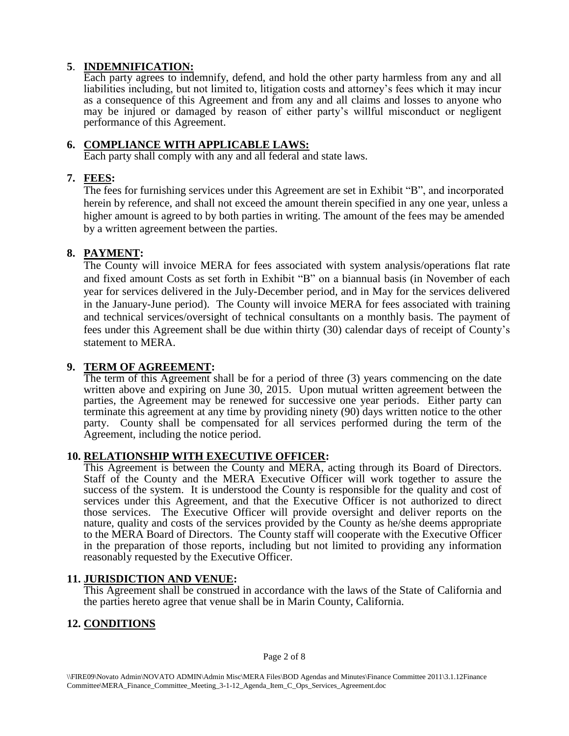# **5**. **INDEMNIFICATION:**

Each party agrees to indemnify, defend, and hold the other party harmless from any and all liabilities including, but not limited to, litigation costs and attorney's fees which it may incur as a consequence of this Agreement and from any and all claims and losses to anyone who may be injured or damaged by reason of either party's willful misconduct or negligent performance of this Agreement.

### **6. COMPLIANCE WITH APPLICABLE LAWS:**

Each party shall comply with any and all federal and state laws.

## **7. FEES:**

The fees for furnishing services under this Agreement are set in Exhibit "B", and incorporated herein by reference, and shall not exceed the amount therein specified in any one year, unless a higher amount is agreed to by both parties in writing. The amount of the fees may be amended by a written agreement between the parties.

## **8. PAYMENT:**

The County will invoice MERA for fees associated with system analysis/operations flat rate and fixed amount Costs as set forth in Exhibit "B" on a biannual basis (in November of each year for services delivered in the July-December period, and in May for the services delivered in the January-June period). The County will invoice MERA for fees associated with training and technical services/oversight of technical consultants on a monthly basis. The payment of fees under this Agreement shall be due within thirty (30) calendar days of receipt of County's statement to MERA.

## **9. TERM OF AGREEMENT:**

The term of this Agreement shall be for a period of three (3) years commencing on the date written above and expiring on June 30, 2015. Upon mutual written agreement between the parties, the Agreement may be renewed for successive one year periods. Either party can terminate this agreement at any time by providing ninety (90) days written notice to the other party. County shall be compensated for all services performed during the term of the Agreement, including the notice period.

### **10. RELATIONSHIP WITH EXECUTIVE OFFICER:**

This Agreement is between the County and MERA, acting through its Board of Directors. Staff of the County and the MERA Executive Officer will work together to assure the success of the system. It is understood the County is responsible for the quality and cost of services under this Agreement, and that the Executive Officer is not authorized to direct those services. The Executive Officer will provide oversight and deliver reports on the nature, quality and costs of the services provided by the County as he/she deems appropriate to the MERA Board of Directors. The County staff will cooperate with the Executive Officer in the preparation of those reports, including but not limited to providing any information reasonably requested by the Executive Officer.

### **11. JURISDICTION AND VENUE:**

This Agreement shall be construed in accordance with the laws of the State of California and the parties hereto agree that venue shall be in Marin County, California.

# **12. CONDITIONS**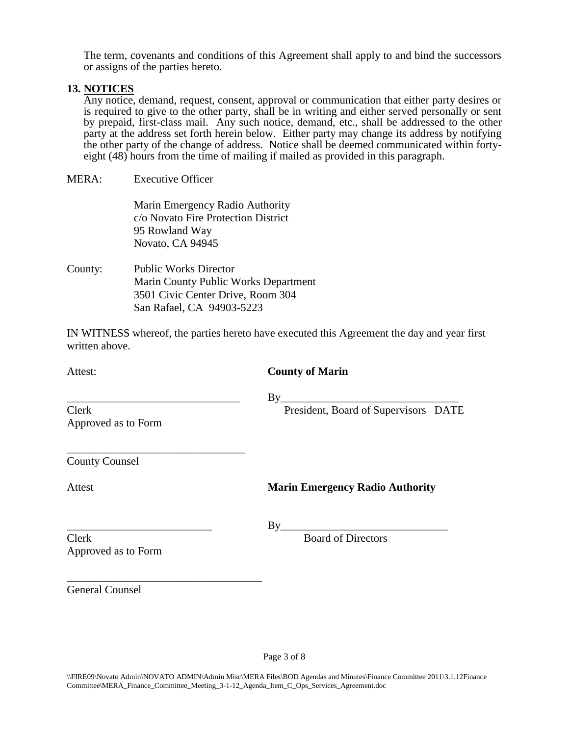The term, covenants and conditions of this Agreement shall apply to and bind the successors or assigns of the parties hereto.

#### **13. NOTICES**

Any notice, demand, request, consent, approval or communication that either party desires or is required to give to the other party, shall be in writing and either served personally or sent by prepaid, first-class mail. Any such notice, demand, etc., shall be addressed to the other party at the address set forth herein below. Either party may change its address by notifying the other party of the change of address. Notice shall be deemed communicated within fortyeight (48) hours from the time of mailing if mailed as provided in this paragraph.

Marin Emergency Radio Authority c/o Novato Fire Protection District 95 Rowland Way Novato, CA 94945

County: Public Works Director Marin County Public Works Department 3501 Civic Center Drive, Room 304 San Rafael, CA 94903-5223

IN WITNESS whereof, the parties hereto have executed this Agreement the day and year first written above.

Attest: **County of Marin** 

Approved as to Form

\_\_\_\_\_\_\_\_\_\_\_\_\_\_\_\_\_\_\_\_\_\_\_\_\_\_\_\_\_\_\_\_

\_\_\_\_\_\_\_\_\_\_\_\_\_\_\_\_\_\_\_\_\_\_\_\_\_\_\_\_\_\_\_\_\_\_\_

 $By$  —  $\Box$ 

Clerk President, Board of Supervisors DATE

County Counsel

### Attest **Marin Emergency Radio Authority**

 $\qquad \qquad \text{By} \qquad \qquad \qquad \text{By}$ 

Clerk Board of Directors Approved as to Form

General Counsel

Page 3 of 8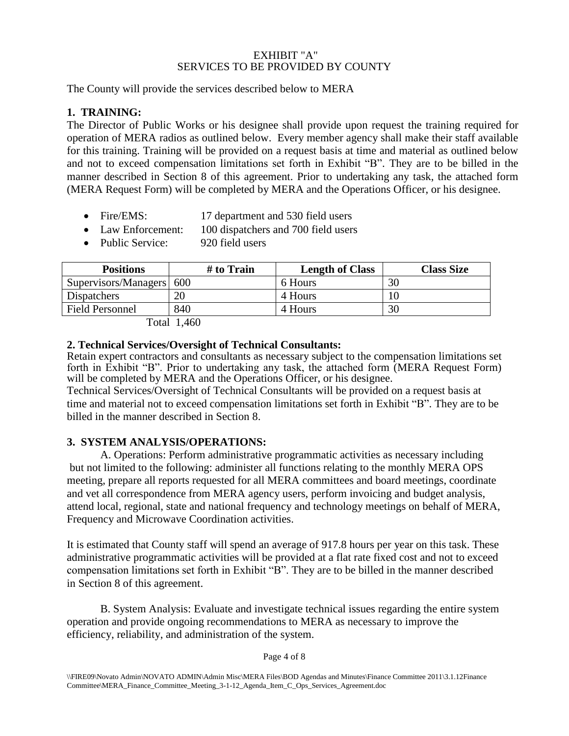### EXHIBIT "A" SERVICES TO BE PROVIDED BY COUNTY

The County will provide the services described below to MERA

# **1. TRAINING:**

The Director of Public Works or his designee shall provide upon request the training required for operation of MERA radios as outlined below. Every member agency shall make their staff available for this training. Training will be provided on a request basis at time and material as outlined below and not to exceed compensation limitations set forth in Exhibit "B". They are to be billed in the manner described in Section 8 of this agreement. Prior to undertaking any task, the attached form (MERA Request Form) will be completed by MERA and the Operations Officer, or his designee.

- Fire/EMS: 17 department and 530 field users
- Law Enforcement: 100 dispatchers and 700 field users
- Public Service: 920 field users

| <b>Positions</b>         | # to Train   | <b>Length of Class</b> | <b>Class Size</b> |
|--------------------------|--------------|------------------------|-------------------|
| Supervisors/Managers 600 |              | 6 Hours                | 30                |
| <b>Dispatchers</b>       | 20           | 4 Hours                |                   |
| <b>Field Personnel</b>   | 840          | 4 Hours                | 30                |
|                          | $T = 1.1170$ |                        |                   |

Total 1,460

## **2. Technical Services/Oversight of Technical Consultants:**

Retain expert contractors and consultants as necessary subject to the compensation limitations set forth in Exhibit "B". Prior to undertaking any task, the attached form (MERA Request Form) will be completed by MERA and the Operations Officer, or his designee.

Technical Services/Oversight of Technical Consultants will be provided on a request basis at time and material not to exceed compensation limitations set forth in Exhibit "B". They are to be billed in the manner described in Section 8.

# **3. SYSTEM ANALYSIS/OPERATIONS:**

A. Operations: Perform administrative programmatic activities as necessary including but not limited to the following: administer all functions relating to the monthly MERA OPS meeting, prepare all reports requested for all MERA committees and board meetings, coordinate and vet all correspondence from MERA agency users, perform invoicing and budget analysis, attend local, regional, state and national frequency and technology meetings on behalf of MERA, Frequency and Microwave Coordination activities.

It is estimated that County staff will spend an average of 917.8 hours per year on this task. These administrative programmatic activities will be provided at a flat rate fixed cost and not to exceed compensation limitations set forth in Exhibit "B". They are to be billed in the manner described in Section 8 of this agreement.

B. System Analysis: Evaluate and investigate technical issues regarding the entire system operation and provide ongoing recommendations to MERA as necessary to improve the efficiency, reliability, and administration of the system.

#### Page 4 of 8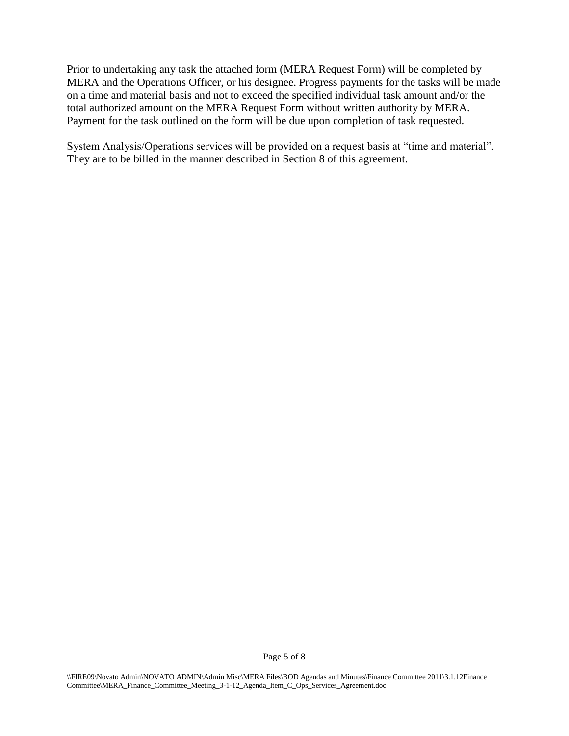Prior to undertaking any task the attached form (MERA Request Form) will be completed by MERA and the Operations Officer, or his designee. Progress payments for the tasks will be made on a time and material basis and not to exceed the specified individual task amount and/or the total authorized amount on the MERA Request Form without written authority by MERA. Payment for the task outlined on the form will be due upon completion of task requested.

System Analysis/Operations services will be provided on a request basis at "time and material". They are to be billed in the manner described in Section 8 of this agreement.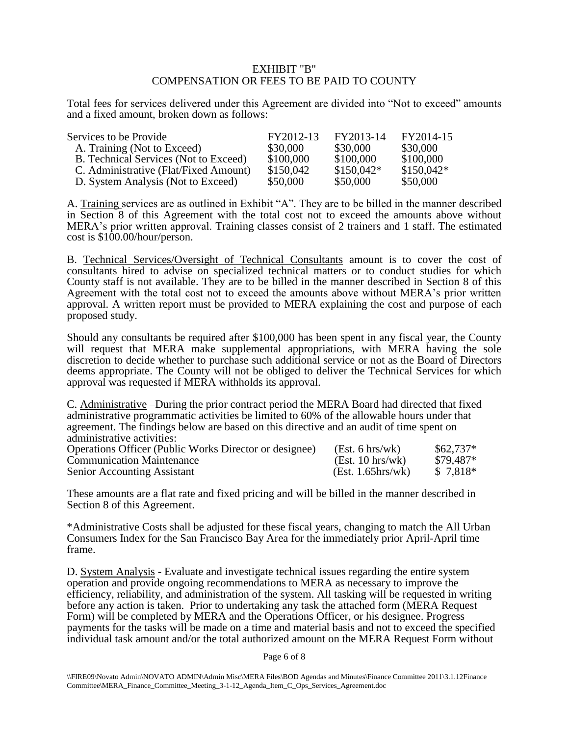#### EXHIBIT "B" COMPENSATION OR FEES TO BE PAID TO COUNTY

Total fees for services delivered under this Agreement are divided into "Not to exceed" amounts and a fixed amount, broken down as follows:

| Services to be Provide                | FY2012-13 | FY2013-14   | FY2014-15   |
|---------------------------------------|-----------|-------------|-------------|
| A. Training (Not to Exceed)           | \$30,000  | \$30,000    | \$30,000    |
| B. Technical Services (Not to Exceed) | \$100,000 | \$100,000   | \$100,000   |
| C. Administrative (Flat/Fixed Amount) | \$150,042 | $$150,042*$ | $$150,042*$ |
| D. System Analysis (Not to Exceed)    | \$50,000  | \$50,000    | \$50,000    |

A. Training services are as outlined in Exhibit "A". They are to be billed in the manner described in Section 8 of this Agreement with the total cost not to exceed the amounts above without MERA's prior written approval. Training classes consist of 2 trainers and 1 staff. The estimated cost is \$100.00/hour/person.

B. Technical Services/Oversight of Technical Consultants amount is to cover the cost of consultants hired to advise on specialized technical matters or to conduct studies for which County staff is not available. They are to be billed in the manner described in Section 8 of this Agreement with the total cost not to exceed the amounts above without MERA's prior written approval. A written report must be provided to MERA explaining the cost and purpose of each proposed study.

Should any consultants be required after \$100,000 has been spent in any fiscal year, the County will request that MERA make supplemental appropriations, with MERA having the sole discretion to decide whether to purchase such additional service or not as the Board of Directors deems appropriate. The County will not be obliged to deliver the Technical Services for which approval was requested if MERA withholds its approval.

C. Administrative –During the prior contract period the MERA Board had directed that fixed administrative programmatic activities be limited to 60% of the allowable hours under that agreement. The findings below are based on this directive and an audit of time spent on administrative activities:

| Operations Officer (Public Works Director or designee) | (Est. 6 hrs/wk)    | $$62.737*$ |
|--------------------------------------------------------|--------------------|------------|
| <b>Communication Maintenance</b>                       | (Est. 10 hrs/wk)   | \$79.487*  |
| Senior Accounting Assistant                            | (Est. 1.65 hrs/wk) | \$ 7.818*  |

These amounts are a flat rate and fixed pricing and will be billed in the manner described in Section 8 of this Agreement.

\*Administrative Costs shall be adjusted for these fiscal years, changing to match the All Urban Consumers Index for the San Francisco Bay Area for the immediately prior April-April time frame.

D. System Analysis - Evaluate and investigate technical issues regarding the entire system operation and provide ongoing recommendations to MERA as necessary to improve the efficiency, reliability, and administration of the system. All tasking will be requested in writing before any action is taken. Prior to undertaking any task the attached form (MERA Request Form) will be completed by MERA and the Operations Officer, or his designee. Progress payments for the tasks will be made on a time and material basis and not to exceed the specified individual task amount and/or the total authorized amount on the MERA Request Form without

Page 6 of 8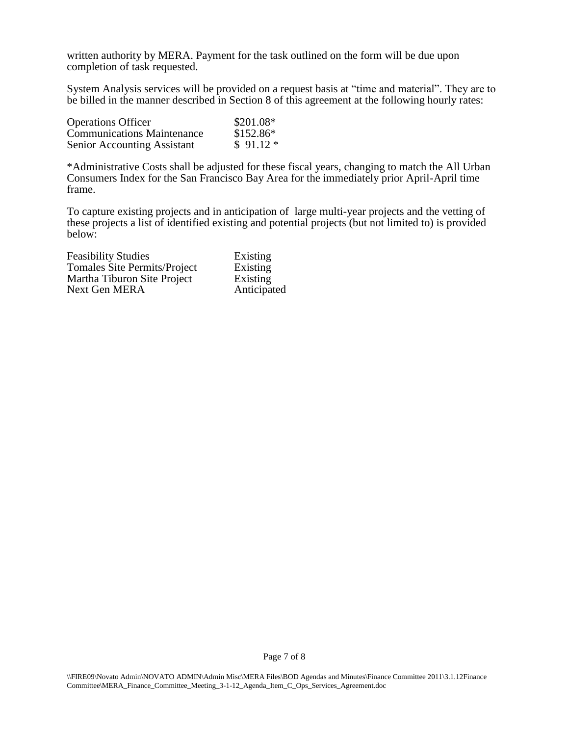written authority by MERA. Payment for the task outlined on the form will be due upon completion of task requested.

System Analysis services will be provided on a request basis at "time and material". They are to be billed in the manner described in Section 8 of this agreement at the following hourly rates:

| <b>Operations Officer</b>          | $$201.08*$ |
|------------------------------------|------------|
| <b>Communications Maintenance</b>  | $$152.86*$ |
| <b>Senior Accounting Assistant</b> | $$91.12*$  |

\*Administrative Costs shall be adjusted for these fiscal years, changing to match the All Urban Consumers Index for the San Francisco Bay Area for the immediately prior April-April time frame.

To capture existing projects and in anticipation of large multi-year projects and the vetting of these projects a list of identified existing and potential projects (but not limited to) is provided below:

| <b>Feasibility Studies</b>          | Existing    |
|-------------------------------------|-------------|
| <b>Tomales Site Permits/Project</b> | Existing    |
| Martha Tiburon Site Project         | Existing    |
| <b>Next Gen MERA</b>                | Anticipated |